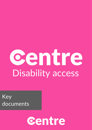# centre Disability access

Key documents

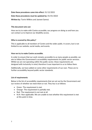## **Date these procedures came into effect:** 31/12/2021

## **Date these procedures must be updated by:** 01/01/2023

**Written by:** Torrin Wilkins and Jasneet Samrai.

## **This document sets out:**

How we try to make with Centre accessible, our progress on doing so and how you can contact us to improve our disability access.

## **Who is covered by this policy?**

This is applicable to all members of Centre and the wider public. It covers, but is not limited to our website, social media, and events.

## **How we try to make Centre accessible.**

In order to ensure that our work remains accessible to as many people as possible, we aim to follow the Government's accessibility requirements for public sector services. Whilst we are not operating within the public sector, these requirements are designed with inclusivity in mind, therefore it was important to us to follow them.

Additionally, we have added on some other requirements of our own. These are to further accessibility beyond public sector standards.

## **List of requirements**

Below is the list of accessibility requirements that are set out by the Government and our review of whether we meet them or not. They key is as follows:

- Green- The requirement is met.
- Orange- The requirement is partially met.
- Red- The requirement is not met at all.
- N/A- Non-applicable. We are unable to test whether this requirement is met at this point in time.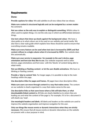# Requirements:

## **Done:**

**Provide captions for video:** We add subtitles to all new videos that we release.

**Make sure content is structured logically and can be navigated by a screen reader:**  No comment.

**Not use colour as the only way to explain or distinguish something.** Whilst colour is often used to explain things, it is not the only way in which we differentiate between things.

**Use text colours that show up clearly against the background colour.** We have a clear guide as to what colours are to be used on our website and social media. We also have a clear style guide which explains how these should be used to ensure that everything remains readable.

**Make sure every feature can be used when text size is increased by 200% and that content reflows to a single column when it is increased by 400%.** Our website does this automatically.

**Make sure your service is responsive- for example to the user's device, page orientation and font size they like to use.** Our website responds well to other devices, page orientations and font sizes- with the 'blocks' of content being able to adapt easily.

**Not use blinking or flashing content- or let the user disable animations.** We have no blinking or flashing content.

**Provide a 'skip to content' link.** For longer pages, it is possible to skip to the main headings within the page.

**Use descriptive titles for pages and frames.** All pages have clear descriptive titles.

**Make sure users can move through content in a way that makes sense.** The content on our website is clearly organised in a way that makes sense to the user.

**Use descriptive links so that users know where a link will take them, or what downloadable linked content is.** All links are clearly labelled as to where they are leading you and what the content of the page is. For example, if it is for a document it will clearly say 'read'.

**Use meaningful headers and labels.** All labels and headers on the website are used to improve the website organisation and improve navigation for the user.

**Only use things like mouse events or dynamic interactions when they are strictly necessary.** We ensure that all mouse events or dynamic interactions on the website are present with a clear purpose in mind.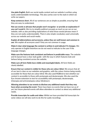**Use plain English.** Both our social media content and our website is written using easily understandable terminology. This also carries over to the style in which we write our papers.

**Keep sentences short.** All of our sentences are as simple as possible, ensuring that they are easy to understand.

**Not use words or phrases that people won't recognise- or provide an explanation if you can't avoid it.** We try to simplify political concepts as much as we can on our website, with us also providing explanations of what those words/phrases mean if they are not easily understandable. There is also simple vocabulary used universally across our website and social media.

**Explain all abbreviations and acronyms, unless they are well known and common in use.** We explain all acronyms used if they are not common in usage.

**Make it clear what language the content is written in and indicate if it changes.** We only operate in English therefore we do not need to indicate to the user if the language changes.

**Make sure the features look consistent and behave in predictable ways.** The website and its layout have a clear style guide- with the way in which features look and behave being consistent across the website.

**Make sure all form fields have visible and meaningful labels.** All form fields are clearly labelled.

**Ensure that our content is visible for those who are colour-blind.** We ensure that all of our text is clear on our websites and graphics, with the colour choices being mostly accessible for those that are colour blind. We also used RGBlind to test whether our content is accessible to those with protanopia and deuteranopia. We also used the Eye chrome extension to test for accessibility with protanopia, deuteranopia, tritanopia and achromatopsia colour blindness's

**Allowing attendees to our events to disclose any additional needs that they may have when accessing the event.** There have been no events that we have run as of yet, but future planned events will allow attendees to contact us about any additional needs.

**Provide transcripts for audio and video:** Whilst we have provided full transcripts for some videos we will also work to do this for audio recordings.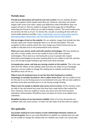## **Partially done:**

**Provide text alternatives (alt-text) for non-text content:** On our website all items have text captions which explain what they are. However, this does not include images with covers over them, videos and slideshows which WordPress does not support alt text on. We are unable to change the home page due to WordPress restricting the format in which we are able to display content. The social media posts do not have alt-text as of yet. To resolve this, we plan on posting alt-text with our social media wherever possible. [https://help.twitter.com/en/using-twitter/picture](https://help.twitter.com/en/using-twitter/picture-descriptionshttps:/help.twitter.com/en/using-twitter/picture-descriptions)[descriptionshttps:/help.twitter.com/en/using-twitter/picture-descriptions](https://help.twitter.com/en/using-twitter/picture-descriptionshttps:/help.twitter.com/en/using-twitter/picture-descriptions)

**Not use images of text on the website.** On our website, images that include text also include a plain text version alongside them or an alt text description. The only exception to this is articles where the cover image says Centre Views but we are unable to add plain text to the preformatted news sections.

**Make sure your service works well with assistive technologies.** We have tested our site with a screen reader, yet we are unable to test it with other assistive technologies. This is due to us not having the access to people who require alternative technologies to be used, meaning that we are unable to test this, and due to us not having enough funding to get these tests done privately.

**Let people play, pause, and stop any moving content on the website.** This is the case with all of the videos on the website aside from the one video on our homepage. However, we are unable to change this setting due to website restrictions that WordPress have set for us.

**Make it easy for keyboard users to see the item their keyboard or assistive technology is currently focused on- this is called 'active focus'.** We are unable to test for this due to us not having access to any keyboard-only uses. We are also unable to get these tests done privately due to us not having enough funding.

**Make it easy for people to identify and correct errors in forms.** At the moment, users are able to see and amend any areas that they have made before they submit the form. However, they are unable to correct any errors once the form has been submitted. Unfortunately, WordPress does not allow for forms to be edited once submitted.

**Simplified versions of our documents available.** Most of our key documents are available with easy read versions. In future we also hope to do this with our papers.

## **Not applicable:**

**Use proper markup for every feature so that relationships between content are defined properly:** Due to use using WordPress to publish our website and not code, we are unable to change the markup that our website uses under our current plan.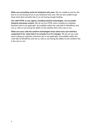**Make sure everything works for keyboard-only users.** We are unable to test for this due to us not having access to any keyboard-only uses. We are also unable to get these tests done privately due to us not having enough funding.

**Use valid HTML so user agents, including assistive technologies, can accurately interpret and pause content.** We do not use HTML when creating our websites, therefore this is not applicable. Accessibility within the code falls to WordPress and not us, with us not having the ability to test whether this is the case or not.

**Make sure your code lets assistive technologies know what every user interface component is for, what state it is currently in an if it changes.** We do not use code when coding our websites, therefore this is not applicable. Accessibility within the code falls to WordPress and not us, with us not having the ability to test whether this is the case or not.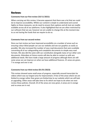## Reviews:

## **Comments from our first review (10/11/2021):**

When carrying out this review, it became apparent that there was a lot that we could do to improve accessibility. Whilst our content is simple to understand and scored highly on these measures, we do need to ensure that captions and alt-text are readily available across all of our platforms. It also highlighted that we are often restricted by our software that we use, however we are unable to change this at the moment due to us not having the funds that we require to do so.

## **Comments from our second review:**

Since our last review we have improved accessibility on a number of areas such as ensuring colour-blind people can use our website and see our graphics as easily as possible. We also increased the number of easy read documents that were available converting all of our safeguarding and complaints documents to simple easy read formats. We also did the same with our constitution alongside many of our other core documents. Attendees at future events will also be able to contact us with any additional needs. We have made a large amount of progress although there are still some areas we can improve on when we have additional finances. 21 areas are green, 7 in orange and one is red.

## **Comments from our third review (01/01/2023):**

This review showed some small areas of progress, especially around transcripts for videos which was our largest area for improvement. A few of the areas where we are limited to orange rather than green are limited due to our website which we will look at upgrading. Other areas will take time to fix which we hope to do when we next review these policies. Overall, 23 of the areas are now green, 6 areas are in orange and no areas are in red.